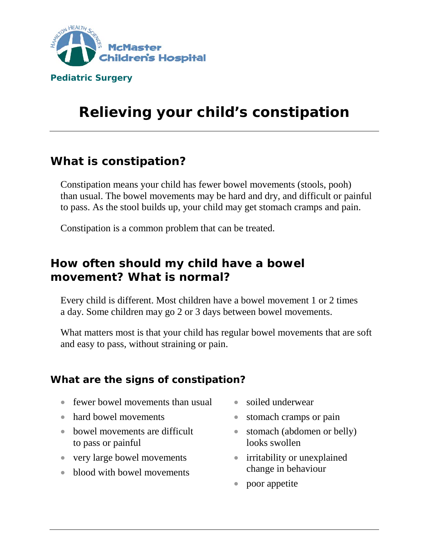

# **Relieving your child's constipation**

# **What is constipation?**

Constipation means your child has fewer bowel movements (stools, pooh) than usual. The bowel movements may be hard and dry, and difficult or painful to pass. As the stool builds up, your child may get stomach cramps and pain.

Constipation is a common problem that can be treated.

# **How often should my child have a bowel movement? What is normal?**

Every child is different. Most children have a bowel movement 1 or 2 times a day. Some children may go 2 or 3 days between bowel movements.

What matters most is that your child has regular bowel movements that are soft and easy to pass, without straining or pain.

#### **What are the signs of constipation?**

- fewer bowel movements than usual
- hard bowel movements
- bowel movements are difficult to pass or painful
- very large bowel movements
- blood with bowel movements
- soiled underwear
- stomach cramps or pain
- stomach (abdomen or belly) looks swollen
- irritability or unexplained change in behaviour
- poor appetite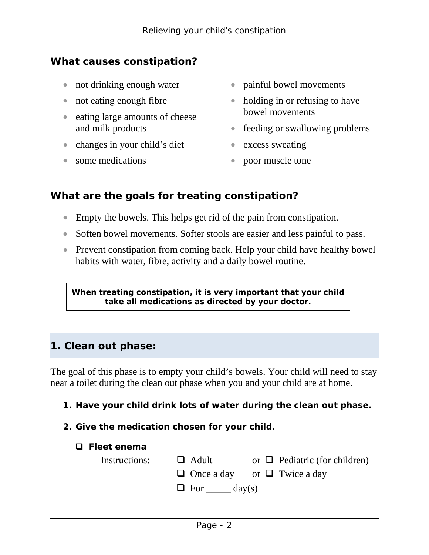## **What causes constipation?**

- not drinking enough water
- not eating enough fibre
- eating large amounts of cheese and milk products
- changes in your child's diet
- some medications
- painful bowel movements
- holding in or refusing to have bowel movements
- feeding or swallowing problems
- excess sweating
- poor muscle tone

### **What are the goals for treating constipation?**

- Empty the bowels. This helps get rid of the pain from constipation.
- Soften bowel movements. Softer stools are easier and less painful to pass.
- Prevent constipation from coming back. Help your child have healthy bowel habits with water, fibre, activity and a daily bowel routine.

**When treating constipation, it is very important that your child take all medications as directed by your doctor.**

## **1. Clean out phase:**

The goal of this phase is to empty your child's bowels. Your child will need to stay near a toilet during the clean out phase when you and your child are at home.

- **1. Have your child drink lots of water during the clean out phase.**
- **2. Give the medication chosen for your child.**

#### **Fleet enema**

| Instructions: $\Box$ Adult |                              | or $\Box$ Pediatric (for children)      |
|----------------------------|------------------------------|-----------------------------------------|
|                            |                              | $\Box$ Once a day or $\Box$ Twice a day |
|                            | $\Box$ For $\_\_\_\_$ day(s) |                                         |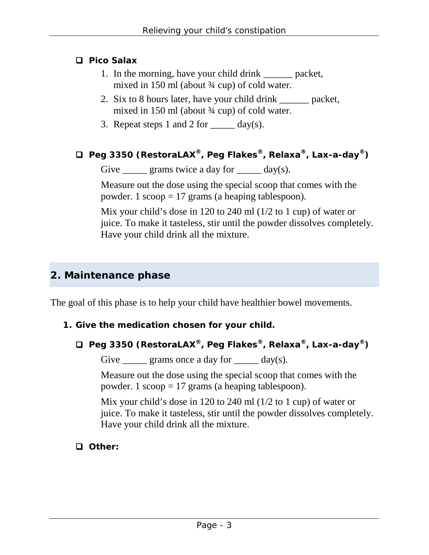#### **Pico Salax**

- 1. In the morning, have your child drink packet, mixed in 150 ml (about ¾ cup) of cold water.
- 2. Six to 8 hours later, have your child drink \_\_\_\_\_\_ packet, mixed in 150 ml (about ¾ cup) of cold water.
- 3. Repeat steps 1 and 2 for  $\_\_\_\_\$  day(s).

```
 Peg 3350 (RestoraLAX®, Peg Flakes®, Relaxa®, Lax-a-day®)
```
Give grams twice a day for  $\qquad \qquad$  day(s).

Measure out the dose using the special scoop that comes with the powder. 1  $\text{scope} = 17$  grams (a heaping tablespoon).

Mix your child's dose in 120 to 240 ml (1/2 to 1 cup) of water or juice. To make it tasteless, stir until the powder dissolves completely. Have your child drink all the mixture.

## **2. Maintenance phase**

The goal of this phase is to help your child have healthier bowel movements.

#### **1. Give the medication chosen for your child.**

 **Peg 3350 (RestoraLAX®, Peg Flakes®, Relaxa®, Lax-a-day®)**

Give  $\frac{\ }{\ }$  grams once a day for  $\frac{\ }{\ }$  day(s).

Measure out the dose using the special scoop that comes with the powder. 1  $\text{scope} = 17$  grams (a heaping tablespoon).

Mix your child's dose in 120 to 240 ml (1/2 to 1 cup) of water or juice. To make it tasteless, stir until the powder dissolves completely. Have your child drink all the mixture.

 **Other:**